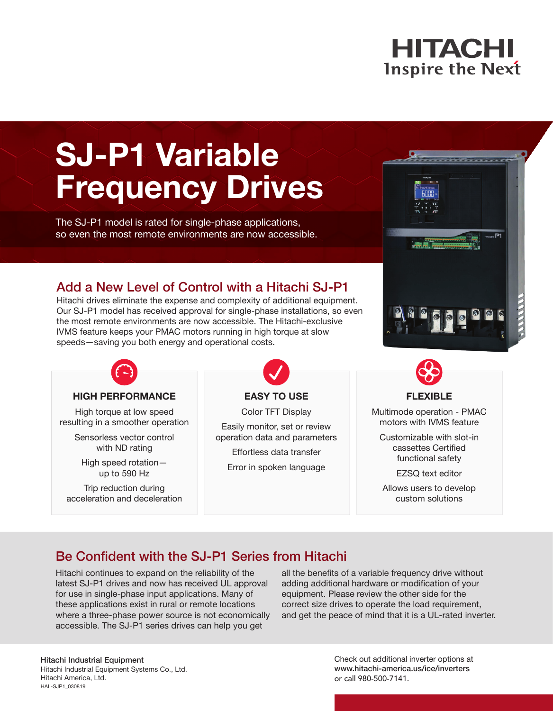# **HITACHI Inspire the Next**

# **SJ-P1 Variable Frequency Drives**

The SJ-P1 model is rated for single-phase applications, so even the most remote environments are now accessible.

# Add a New Level of Control with a Hitachi SJ-P1

Hitachi drives eliminate the expense and complexity of additional equipment. Our SJ-P1 model has received approval for single-phase installations, so even the most remote environments are now accessible. The Hitachi-exclusive IVMS feature keeps your PMAC motors running in high torque at slow speeds—saving you both energy and operational costs.



#### **HIGH PERFORMANCE**

High torque at low speed resulting in a smoother operation

> Sensorless vector control with ND rating

High speed rotation up to 590 Hz

Trip reduction during acceleration and deceleration

# **EASY TO USE**

Color TFT Display

Easily monitor, set or review operation data and parameters

Effortless data transfer Error in spoken language



## **FLEXIBLE**

Multimode operation - PMAC motors with IVMS feature

Customizable with slot-in cassettes Certified functional safety

EZSQ text editor

Allows users to develop custom solutions

# Be Confident with the SJ-P1 Series from Hitachi

Hitachi continues to expand on the reliability of the latest SJ-P1 drives and now has received UL approval for use in single-phase input applications. Many of these applications exist in rural or remote locations where a three-phase power source is not economically accessible. The SJ-P1 series drives can help you get

all the benefits of a variable frequency drive without adding additional hardware or modification of your equipment. Please review the other side for the correct size drives to operate the load requirement, and get the peace of mind that it is a UL-rated inverter.

# Hitachi Industrial Equipment

Hitachi Industrial Equipment Systems Co., Ltd. Hitachi America, Ltd. HAL-SJP1\_030819

Check out additional inverter options at www.hitachi-america.us/ice/inverters or call 980-500-7141.